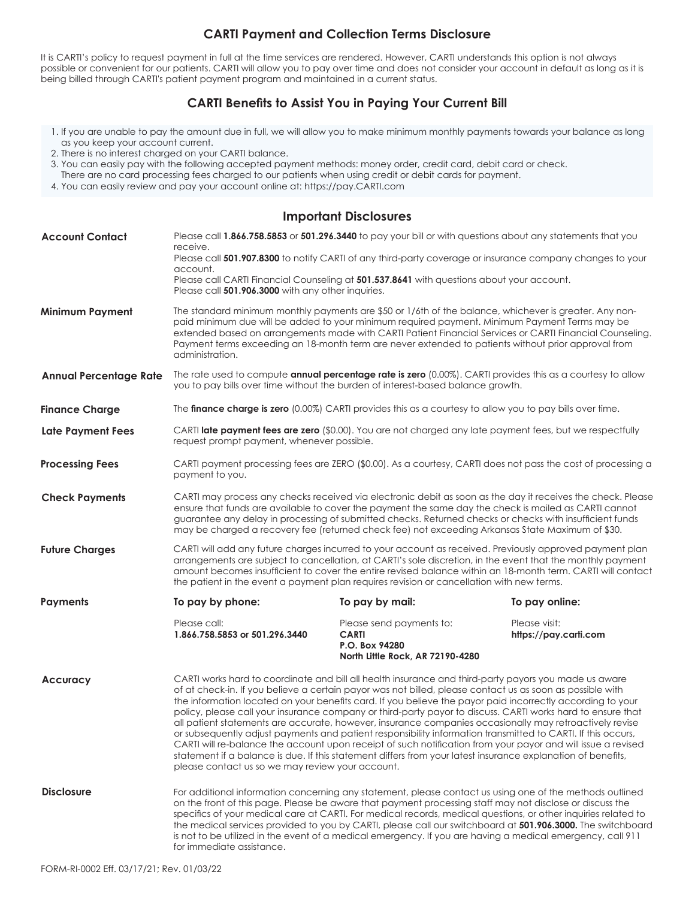## **CARTI Payment and Collection Terms Disclosure**

It is CARTI's policy to request payment in full at the time services are rendered. However, CARTI understands this option is not always possible or convenient for our patients. CARTI will allow you to pay over time and does not consider your account in default as long as it is being billed through CARTI's patient payment program and maintained in a current status.

## **CARTI Benefits to Assist You in Paying Your Current Bill**

- 1. If you are unable to pay the amount due in full, we will allow you to make minimum monthly payments towards your balance as long as you keep your account current.
- 2. There is no interest charged on your CARTI balance.
- 3. You can easily pay with the following accepted payment methods: money order, credit card, debit card or check.
- There are no card processing fees charged to our patients when using credit or debit cards for payment.
- 4. You can easily review and pay your account online at: https://pay.CARTI.com

## **Important Disclosures**

| <b>Account Contact</b>        | Please call 1.866.758.5853 or 501.296.3440 to pay your bill or with questions about any statements that you<br>receive.<br>Please call 501.907.8300 to notify CARTI of any third-party coverage or insurance company changes to your<br>account.<br>Please call CARTI Financial Counseling at 501.537.8641 with questions about your account.<br>Please call 501.906.3000 with any other inquiries.                                                                                                                                                                                                                                                                                                                                                                                                                                                                                                                                                            |                                                                                                |                                        |
|-------------------------------|----------------------------------------------------------------------------------------------------------------------------------------------------------------------------------------------------------------------------------------------------------------------------------------------------------------------------------------------------------------------------------------------------------------------------------------------------------------------------------------------------------------------------------------------------------------------------------------------------------------------------------------------------------------------------------------------------------------------------------------------------------------------------------------------------------------------------------------------------------------------------------------------------------------------------------------------------------------|------------------------------------------------------------------------------------------------|----------------------------------------|
| <b>Minimum Payment</b>        | The standard minimum monthly payments are \$50 or 1/6th of the balance, whichever is greater. Any non-<br>paid minimum due will be added to your minimum required payment. Minimum Payment Terms may be<br>extended based on arrangements made with CARTI Patient Financial Services or CARTI Financial Counseling.<br>Payment terms exceeding an 18-month term are never extended to patients without prior approval from<br>administration.                                                                                                                                                                                                                                                                                                                                                                                                                                                                                                                  |                                                                                                |                                        |
| <b>Annual Percentage Rate</b> | The rate used to compute annual percentage rate is zero (0.00%). CARTI provides this as a courtesy to allow<br>you to pay bills over time without the burden of interest-based balance growth.                                                                                                                                                                                                                                                                                                                                                                                                                                                                                                                                                                                                                                                                                                                                                                 |                                                                                                |                                        |
| <b>Finance Charge</b>         | The finance charge is zero (0.00%) CARTI provides this as a courtesy to allow you to pay bills over time.                                                                                                                                                                                                                                                                                                                                                                                                                                                                                                                                                                                                                                                                                                                                                                                                                                                      |                                                                                                |                                        |
| <b>Late Payment Fees</b>      | CARTI late payment fees are zero (\$0.00). You are not charged any late payment fees, but we respectfully<br>request prompt payment, whenever possible.                                                                                                                                                                                                                                                                                                                                                                                                                                                                                                                                                                                                                                                                                                                                                                                                        |                                                                                                |                                        |
| <b>Processing Fees</b>        | CARTI payment processing fees are ZERO (\$0.00). As a courtesy, CARTI does not pass the cost of processing a<br>payment to you.                                                                                                                                                                                                                                                                                                                                                                                                                                                                                                                                                                                                                                                                                                                                                                                                                                |                                                                                                |                                        |
| <b>Check Payments</b>         | CARTI may process any checks received via electronic debit as soon as the day it receives the check. Please<br>ensure that funds are available to cover the payment the same day the check is mailed as CARTI cannot<br>guarantee any delay in processing of submitted checks. Returned checks or checks with insufficient funds<br>may be charged a recovery fee (returned check fee) not exceeding Arkansas State Maximum of \$30.                                                                                                                                                                                                                                                                                                                                                                                                                                                                                                                           |                                                                                                |                                        |
| <b>Future Charges</b>         | CARTI will add any future charges incurred to your account as received. Previously approved payment plan<br>arrangements are subject to cancellation, at CARTI's sole discretion, in the event that the monthly payment<br>amount becomes insufficient to cover the entire revised balance within an 18-month term. CARTI will contact<br>the patient in the event a payment plan requires revision or cancellation with new terms.                                                                                                                                                                                                                                                                                                                                                                                                                                                                                                                            |                                                                                                |                                        |
| <b>Payments</b>               | To pay by phone:                                                                                                                                                                                                                                                                                                                                                                                                                                                                                                                                                                                                                                                                                                                                                                                                                                                                                                                                               | To pay by mail:                                                                                | To pay online:                         |
|                               | Please call:<br>1.866.758.5853 or 501.296.3440                                                                                                                                                                                                                                                                                                                                                                                                                                                                                                                                                                                                                                                                                                                                                                                                                                                                                                                 | Please send payments to:<br><b>CARTI</b><br>P.O. Box 94280<br>North Little Rock, AR 72190-4280 | Please visit:<br>https://pay.carti.com |
| <b>Accuracy</b>               | CARTI works hard to coordinate and bill all health insurance and third-party payors you made us aware<br>of at check-in. If you believe a certain payor was not billed, please contact us as soon as possible with<br>the information located on your benefits card. If you believe the payor paid incorrectly according to your<br>policy, please call your insurance company or third-party payor to discuss. CARTI works hard to ensure that<br>all patient statements are accurate, however, insurance companies occasionally may retroactively revise<br>or subsequently adjust payments and patient responsibility information transmitted to CARTI. If this occurs,<br>CARTI will re-balance the account upon receipt of such notification from your payor and will issue a revised<br>statement if a balance is due. If this statement differs from your latest insurance explanation of benefits,<br>please contact us so we may review your account. |                                                                                                |                                        |
| <b>Disclosure</b>             | For additional information concerning any statement, please contact us using one of the methods outlined<br>on the front of this page. Please be aware that payment processing staff may not disclose or discuss the<br>specifics of your medical care at CARTI. For medical records, medical questions, or other inquiries related to<br>the medical services provided to you by CARTI, please call our switchboard at 501.906.3000. The switchboard<br>is not to be utilized in the event of a medical emergency. If you are having a medical emergency, call 911<br>for immediate assistance.                                                                                                                                                                                                                                                                                                                                                               |                                                                                                |                                        |